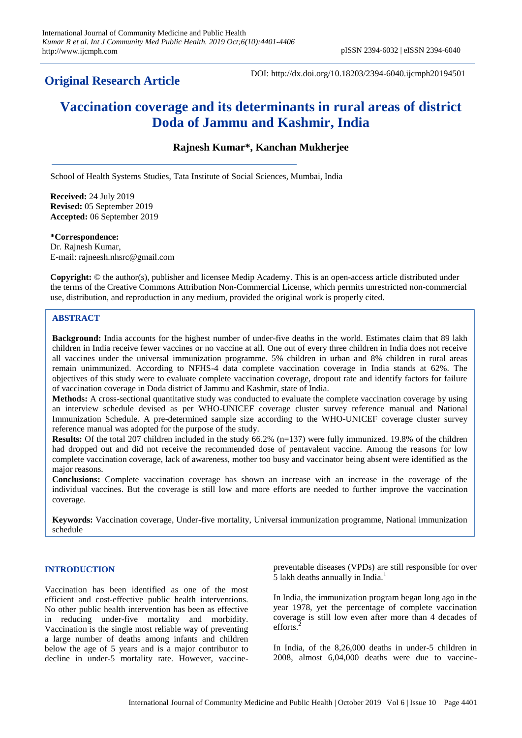# **Original Research Article**

DOI: http://dx.doi.org/10.18203/2394-6040.ijcmph20194501

# **Vaccination coverage and its determinants in rural areas of district Doda of Jammu and Kashmir, India**

# **Rajnesh Kumar\*, Kanchan Mukherjee**

School of Health Systems Studies, Tata Institute of Social Sciences, Mumbai, India

**Received:** 24 July 2019 **Revised:** 05 September 2019 **Accepted:** 06 September 2019

**\*Correspondence:** Dr. Rajnesh Kumar, E-mail: rajneesh.nhsrc@gmail.com

**Copyright:** © the author(s), publisher and licensee Medip Academy. This is an open-access article distributed under the terms of the Creative Commons Attribution Non-Commercial License, which permits unrestricted non-commercial use, distribution, and reproduction in any medium, provided the original work is properly cited.

# **ABSTRACT**

**Background:** India accounts for the highest number of under-five deaths in the world. Estimates claim that 89 lakh children in India receive fewer vaccines or no vaccine at all. One out of every three children in India does not receive all vaccines under the universal immunization programme. 5% children in urban and 8% children in rural areas remain unimmunized. According to NFHS-4 data complete vaccination coverage in India stands at 62%. The objectives of this study were to evaluate complete vaccination coverage, dropout rate and identify factors for failure of vaccination coverage in Doda district of Jammu and Kashmir, state of India.

**Methods:** A cross-sectional quantitative study was conducted to evaluate the complete vaccination coverage by using an interview schedule devised as per WHO-UNICEF coverage cluster survey reference manual and National Immunization Schedule. A pre-determined sample size according to the WHO-UNICEF coverage cluster survey reference manual was adopted for the purpose of the study.

**Results:** Of the total 207 children included in the study 66.2% (n=137) were fully immunized. 19.8% of the children had dropped out and did not receive the recommended dose of pentavalent vaccine. Among the reasons for low complete vaccination coverage, lack of awareness, mother too busy and vaccinator being absent were identified as the major reasons.

**Conclusions:** Complete vaccination coverage has shown an increase with an increase in the coverage of the individual vaccines. But the coverage is still low and more efforts are needed to further improve the vaccination coverage.

**Keywords:** Vaccination coverage, Under-five mortality, Universal immunization programme, National immunization schedule

# **INTRODUCTION**

Vaccination has been identified as one of the most efficient and cost-effective public health interventions. No other public health intervention has been as effective in reducing under-five mortality and morbidity. Vaccination is the single most reliable way of preventing a large number of deaths among infants and children below the age of 5 years and is a major contributor to decline in under-5 mortality rate. However, vaccinepreventable diseases (VPDs) are still responsible for over 5 lakh deaths annually in India.<sup>1</sup>

In India, the immunization program began long ago in the year 1978, yet the percentage of complete vaccination coverage is still low even after more than 4 decades of efforts.

In India, of the 8,26,000 deaths in under-5 children in 2008, almost 6,04,000 deaths were due to vaccine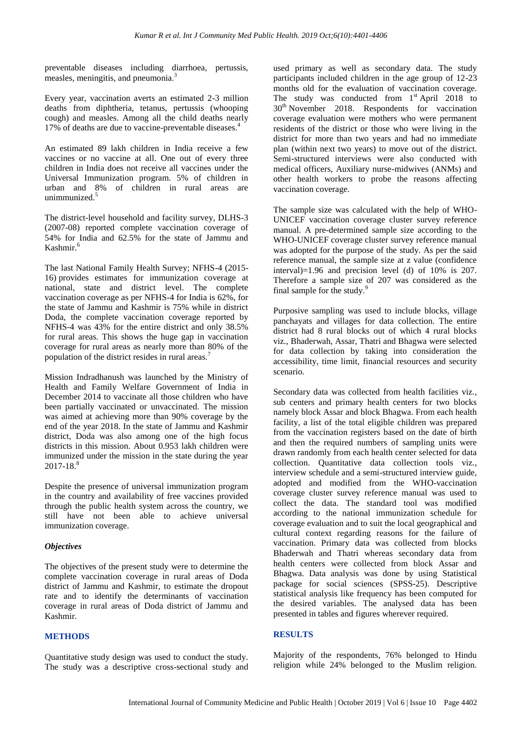preventable diseases including diarrhoea, pertussis, measles, meningitis, and pneumonia.<sup>3</sup>

Every year, vaccination averts an estimated 2-3 million deaths from diphtheria, tetanus, pertussis (whooping cough) and measles. Among all the child deaths nearly 17% of deaths are due to vaccine-preventable diseases.<sup>4</sup>

An estimated 89 lakh children in India receive a few vaccines or no vaccine at all. One out of every three children in India does not receive all vaccines under the Universal Immunization program. 5% of children in urban and 8% of children in rural areas are unimmunized.<sup>5</sup>

The district-level household and facility survey, DLHS-3 (2007-08) reported complete vaccination coverage of 54% for India and 62.5% for the state of Jammu and Kashmir.<sup>6</sup>

The last National Family Health Survey; NFHS-4 (2015- 16) provides estimates for immunization coverage at national, state and district level. The complete vaccination coverage as per NFHS-4 for India is 62%, for the state of Jammu and Kashmir is 75% while in district Doda, the complete vaccination coverage reported by NFHS-4 was 43% for the entire district and only 38.5% for rural areas. This shows the huge gap in vaccination coverage for rural areas as nearly more than 80% of the population of the district resides in rural areas.<sup>7</sup>

Mission Indradhanush was launched by the Ministry of Health and Family Welfare Government of India in December 2014 to vaccinate all those children who have been partially vaccinated or unvaccinated. The mission was aimed at achieving more than 90% coverage by the end of the year 2018. In the state of Jammu and Kashmir district, Doda was also among one of the high focus districts in this mission. About 0.953 lakh children were immunized under the mission in the state during the year  $2017 - 18.<sup>8</sup>$ 

Despite the presence of universal immunization program in the country and availability of free vaccines provided through the public health system across the country, we still have not been able to achieve universal immunization coverage.

# *Objectives*

The objectives of the present study were to determine the complete vaccination coverage in rural areas of Doda district of Jammu and Kashmir, to estimate the dropout rate and to identify the determinants of vaccination coverage in rural areas of Doda district of Jammu and Kashmir.

# **METHODS**

Quantitative study design was used to conduct the study. The study was a descriptive cross-sectional study and used primary as well as secondary data. The study participants included children in the age group of 12-23 months old for the evaluation of vaccination coverage. The study was conducted from 1<sup>st</sup> April 2018 to  $30<sup>th</sup>$  November 2018. Respondents for vaccination coverage evaluation were mothers who were permanent residents of the district or those who were living in the district for more than two years and had no immediate plan (within next two years) to move out of the district. Semi-structured interviews were also conducted with medical officers, Auxiliary nurse-midwives (ANMs) and other health workers to probe the reasons affecting vaccination coverage.

The sample size was calculated with the help of WHO-UNICEF vaccination coverage cluster survey reference manual. A pre-determined sample size according to the WHO-UNICEF coverage cluster survey reference manual was adopted for the purpose of the study. As per the said reference manual, the sample size at z value (confidence interval)=1.96 and precision level (d) of 10% is 207. Therefore a sample size of 207 was considered as the final sample for the study.<sup>9</sup>

Purposive sampling was used to include blocks, village panchayats and villages for data collection. The entire district had 8 rural blocks out of which 4 rural blocks viz., Bhaderwah, Assar, Thatri and Bhagwa were selected for data collection by taking into consideration the accessibility, time limit, financial resources and security scenario.

Secondary data was collected from health facilities viz., sub centers and primary health centers for two blocks namely block Assar and block Bhagwa. From each health facility, a list of the total eligible children was prepared from the vaccination registers based on the date of birth and then the required numbers of sampling units were drawn randomly from each health center selected for data collection. Quantitative data collection tools viz., interview schedule and a semi-structured interview guide, adopted and modified from the WHO-vaccination coverage cluster survey reference manual was used to collect the data. The standard tool was modified according to the national immunization schedule for coverage evaluation and to suit the local geographical and cultural context regarding reasons for the failure of vaccination. Primary data was collected from blocks Bhaderwah and Thatri whereas secondary data from health centers were collected from block Assar and Bhagwa. Data analysis was done by using Statistical package for social sciences (SPSS-25). Descriptive statistical analysis like frequency has been computed for the desired variables. The analysed data has been presented in tables and figures wherever required.

# **RESULTS**

Majority of the respondents, 76% belonged to Hindu religion while 24% belonged to the Muslim religion.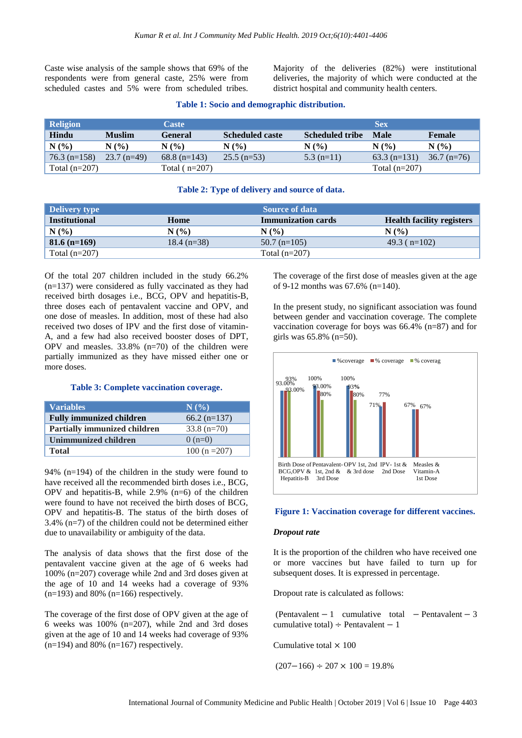Caste wise analysis of the sample shows that 69% of the respondents were from general caste, 25% were from scheduled castes and 5% were from scheduled tribes. Majority of the deliveries (82%) were institutional deliveries, the majority of which were conducted at the district hospital and community health centers.

| <b>Religion</b> |               | <b>Caste</b>    |                        |                        | <b>Sex</b>      |               |
|-----------------|---------------|-----------------|------------------------|------------------------|-----------------|---------------|
| Hindu           | <b>Muslim</b> | <b>General</b>  | <b>Scheduled caste</b> | <b>Scheduled tribe</b> | Male            | Female        |
| $N(\%)$         | N(%)          | N(%             | N(%                    | N(%                    | N(%)            | N(%           |
| $76.3$ (n=158)  | $23.7$ (n=49) | $68.8$ (n=143)  | $25.5$ (n=53)          | $5.3$ (n=11)           | $63.3$ (n=131)  | $36.7$ (n=76) |
| Total $(n=207)$ |               | Total $(n=207)$ |                        |                        | Total $(n=207)$ |               |

#### **Table 1: Socio and demographic distribution.**

#### **Table 2: Type of delivery and source of data.**

| <b>Delivery type</b> |               | <b>Source of data</b>     |                                  |  |  |
|----------------------|---------------|---------------------------|----------------------------------|--|--|
| <b>Institutional</b> | Home          | <b>Immunization cards</b> | <b>Health facility registers</b> |  |  |
| N(%                  | N(%)          | N(%)                      | N(%)                             |  |  |
| $  81.6 (n=169)$     | $18.4$ (n=38) | $50.7$ (n=105)            | 49.3 ( $n=102$ )                 |  |  |
| Total $(n=207)$      |               | Total $(n=207)$           |                                  |  |  |

Of the total 207 children included in the study 66.2% (n=137) were considered as fully vaccinated as they had received birth dosages i.e., BCG, OPV and hepatitis-B, three doses each of pentavalent vaccine and OPV, and one dose of measles. In addition, most of these had also received two doses of IPV and the first dose of vitamin-A, and a few had also received booster doses of DPT, OPV and measles. 33.8% (n=70) of the children were partially immunized as they have missed either one or more doses.

#### **Table 3: Complete vaccination coverage.**

| <b>Variables</b>                    | N(%)           |
|-------------------------------------|----------------|
| <b>Fully immunized children</b>     | $66.2$ (n=137) |
| <b>Partially immunized children</b> | $33.8$ (n=70)  |
| Unimmunized children                | $0(n=0)$       |
| <b>Total</b>                        | $100(n=207)$   |

94% (n=194) of the children in the study were found to have received all the recommended birth doses i.e., BCG, OPV and hepatitis-B, while 2.9% (n=6) of the children were found to have not received the birth doses of BCG, OPV and hepatitis-B. The status of the birth doses of 3.4% (n=7) of the children could not be determined either due to unavailability or ambiguity of the data.

The analysis of data shows that the first dose of the pentavalent vaccine given at the age of 6 weeks had 100% (n=207) coverage while 2nd and 3rd doses given at the age of 10 and 14 weeks had a coverage of 93%  $(n=193)$  and 80%  $(n=166)$  respectively.

The coverage of the first dose of OPV given at the age of 6 weeks was 100% (n=207), while 2nd and 3rd doses given at the age of 10 and 14 weeks had coverage of 93%  $(n=194)$  and 80%  $(n=167)$  respectively.

The coverage of the first dose of measles given at the age of 9-12 months was 67.6% (n=140).

In the present study, no significant association was found between gender and vaccination coverage. The complete vaccination coverage for boys was 66.4% (n=87) and for girls was 65.8% (n=50).



#### **Figure 1: Vaccination coverage for different vaccines.**

#### *Dropout rate*

It is the proportion of the children who have received one or more vaccines but have failed to turn up for subsequent doses. It is expressed in percentage.

Dropout rate is calculated as follows:

(Pentavalent  $-1$  cumulative total  $-$  Pentavalent  $-3$ cumulative total)  $\div$  Pentavalent  $-1$ 

Cumulative total  $\times 100$ 

 $(207 - 166) \div 207 \times 100 = 19.8\%$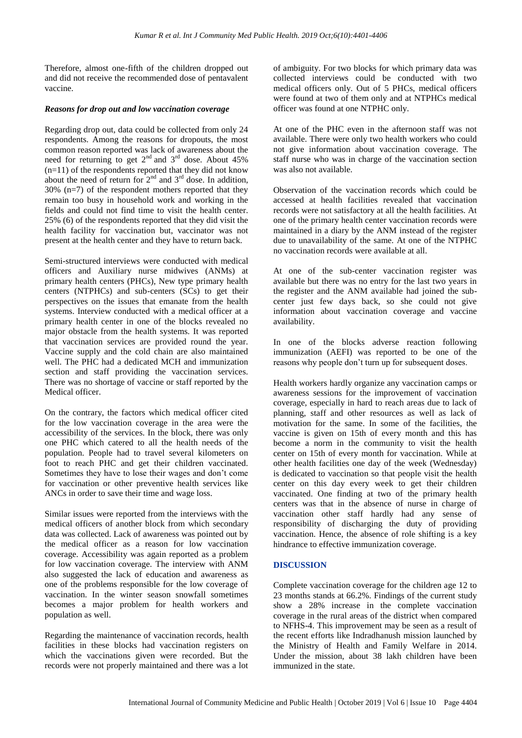Therefore, almost one-fifth of the children dropped out and did not receive the recommended dose of pentavalent vaccine.

# *Reasons for drop out and low vaccination coverage*

Regarding drop out, data could be collected from only 24 respondents. Among the reasons for dropouts, the most common reason reported was lack of awareness about the need for returning to get  $2<sup>nd</sup>$  and  $3<sup>rd</sup>$  dose. About 45%  $(n=11)$  of the respondents reported that they did not know about the need of return for  $2<sup>nd</sup>$  and  $3<sup>rd</sup>$  dose. In addition,  $30\%$  (n=7) of the respondent mothers reported that they remain too busy in household work and working in the fields and could not find time to visit the health center. 25% (6) of the respondents reported that they did visit the health facility for vaccination but, vaccinator was not present at the health center and they have to return back.

Semi-structured interviews were conducted with medical officers and Auxiliary nurse midwives (ANMs) at primary health centers (PHCs), New type primary health centers (NTPHCs) and sub-centers (SCs) to get their perspectives on the issues that emanate from the health systems. Interview conducted with a medical officer at a primary health center in one of the blocks revealed no major obstacle from the health systems. It was reported that vaccination services are provided round the year. Vaccine supply and the cold chain are also maintained well. The PHC had a dedicated MCH and immunization section and staff providing the vaccination services. There was no shortage of vaccine or staff reported by the Medical officer.

On the contrary, the factors which medical officer cited for the low vaccination coverage in the area were the accessibility of the services. In the block, there was only one PHC which catered to all the health needs of the population. People had to travel several kilometers on foot to reach PHC and get their children vaccinated. Sometimes they have to lose their wages and don't come for vaccination or other preventive health services like ANCs in order to save their time and wage loss.

Similar issues were reported from the interviews with the medical officers of another block from which secondary data was collected. Lack of awareness was pointed out by the medical officer as a reason for low vaccination coverage. Accessibility was again reported as a problem for low vaccination coverage. The interview with ANM also suggested the lack of education and awareness as one of the problems responsible for the low coverage of vaccination. In the winter season snowfall sometimes becomes a major problem for health workers and population as well.

Regarding the maintenance of vaccination records, health facilities in these blocks had vaccination registers on which the vaccinations given were recorded. But the records were not properly maintained and there was a lot of ambiguity. For two blocks for which primary data was collected interviews could be conducted with two medical officers only. Out of 5 PHCs, medical officers were found at two of them only and at NTPHCs medical officer was found at one NTPHC only.

At one of the PHC even in the afternoon staff was not available. There were only two health workers who could not give information about vaccination coverage. The staff nurse who was in charge of the vaccination section was also not available.

Observation of the vaccination records which could be accessed at health facilities revealed that vaccination records were not satisfactory at all the health facilities. At one of the primary health center vaccination records were maintained in a diary by the ANM instead of the register due to unavailability of the same. At one of the NTPHC no vaccination records were available at all.

At one of the sub-center vaccination register was available but there was no entry for the last two years in the register and the ANM available had joined the subcenter just few days back, so she could not give information about vaccination coverage and vaccine availability.

In one of the blocks adverse reaction following immunization (AEFI) was reported to be one of the reasons why people don't turn up for subsequent doses.

Health workers hardly organize any vaccination camps or awareness sessions for the improvement of vaccination coverage, especially in hard to reach areas due to lack of planning, staff and other resources as well as lack of motivation for the same. In some of the facilities, the vaccine is given on 15th of every month and this has become a norm in the community to visit the health center on 15th of every month for vaccination. While at other health facilities one day of the week (Wednesday) is dedicated to vaccination so that people visit the health center on this day every week to get their children vaccinated. One finding at two of the primary health centers was that in the absence of nurse in charge of vaccination other staff hardly had any sense of responsibility of discharging the duty of providing vaccination. Hence, the absence of role shifting is a key hindrance to effective immunization coverage.

# **DISCUSSION**

Complete vaccination coverage for the children age 12 to 23 months stands at 66.2%. Findings of the current study show a 28% increase in the complete vaccination coverage in the rural areas of the district when compared to NFHS-4. This improvement may be seen as a result of the recent efforts like Indradhanush mission launched by the Ministry of Health and Family Welfare in 2014. Under the mission, about 38 lakh children have been immunized in the state.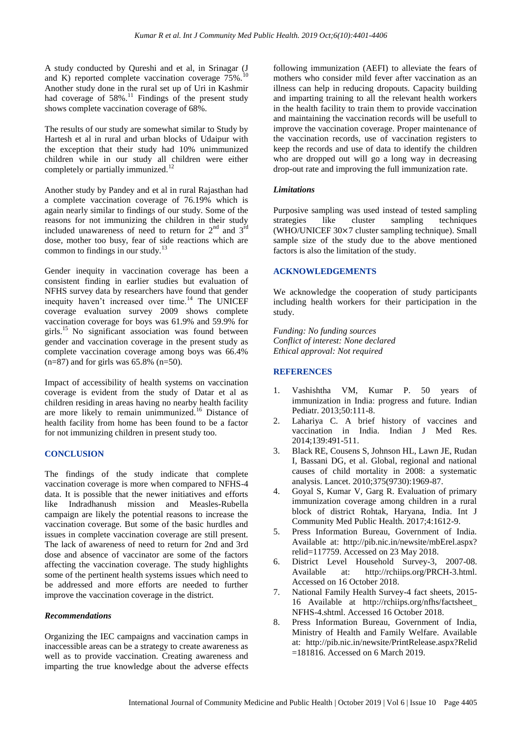A study conducted by Qureshi and et al, in Srinagar (J and K) reported complete vaccination coverage  $75\%$ .<sup>10</sup> Another study done in the rural set up of Uri in Kashmir had coverage of 58%.<sup>11</sup> Findings of the present study shows complete vaccination coverage of 68%.

The results of our study are somewhat similar to Study by Hartesh et al in rural and urban blocks of Udaipur with the exception that their study had 10% unimmunized children while in our study all children were either completely or partially immunized.<sup>12</sup>

Another study by Pandey and et al in rural Rajasthan had a complete vaccination coverage of 76.19% which is again nearly similar to findings of our study. Some of the reasons for not immunizing the children in their study included unawareness of need to return for  $2<sup>nd</sup>$  and  $3<sup>rd</sup>$ dose, mother too busy, fear of side reactions which are common to findings in our study.<sup>13</sup>

Gender inequity in vaccination coverage has been a consistent finding in earlier studies but evaluation of NFHS survey data by researchers have found that gender inequity haven't increased over time.<sup>14</sup> The UNICEF coverage evaluation survey 2009 shows complete vaccination coverage for boys was 61.9% and 59.9% for girls.<sup>15</sup> No significant association was found between gender and vaccination coverage in the present study as complete vaccination coverage among boys was 66.4%  $(n=87)$  and for girls was 65.8%  $(n=50)$ .

Impact of accessibility of health systems on vaccination coverage is evident from the study of Datar et al as children residing in areas having no nearby health facility are more likely to remain unimmunized.<sup>16</sup> Distance of health facility from home has been found to be a factor for not immunizing children in present study too.

# **CONCLUSION**

The findings of the study indicate that complete vaccination coverage is more when compared to NFHS-4 data. It is possible that the newer initiatives and efforts like Indradhanush mission and Measles-Rubella campaign are likely the potential reasons to increase the vaccination coverage. But some of the basic hurdles and issues in complete vaccination coverage are still present. The lack of awareness of need to return for 2nd and 3rd dose and absence of vaccinator are some of the factors affecting the vaccination coverage. The study highlights some of the pertinent health systems issues which need to be addressed and more efforts are needed to further improve the vaccination coverage in the district.

#### *Recommendations*

Organizing the IEC campaigns and vaccination camps in inaccessible areas can be a strategy to create awareness as well as to provide vaccination. Creating awareness and imparting the true knowledge about the adverse effects following immunization (AEFI) to alleviate the fears of mothers who consider mild fever after vaccination as an illness can help in reducing dropouts. Capacity building and imparting training to all the relevant health workers in the health facility to train them to provide vaccination and maintaining the vaccination records will be usefull to improve the vaccination coverage. Proper maintenance of the vaccination records, use of vaccination registers to keep the records and use of data to identify the children who are dropped out will go a long way in decreasing drop-out rate and improving the full immunization rate.

## *Limitations*

Purposive sampling was used instead of tested sampling strategies like cluster sampling techniques (WHO/UNICEF  $30 \times 7$  cluster sampling technique). Small sample size of the study due to the above mentioned factors is also the limitation of the study.

## **ACKNOWLEDGEMENTS**

We acknowledge the cooperation of study participants including health workers for their participation in the study.

*Funding: No funding sources Conflict of interest: None declared Ethical approval: Not required*

## **REFERENCES**

- 1. Vashishtha VM, Kumar P. 50 years of immunization in India: progress and future. Indian Pediatr. 2013;50:111-8.
- 2. Lahariya C. A brief history of vaccines and vaccination in India. Indian J Med Res. 2014;139:491-511.
- 3. Black RE, Cousens S, Johnson HL, Lawn JE, Rudan I, Bassani DG, et al. Global, regional and national causes of child mortality in 2008: a systematic analysis. Lancet. 2010;375(9730):1969-87.
- 4. Goyal S, Kumar V, Garg R. Evaluation of primary immunization coverage among children in a rural block of district Rohtak, Haryana, India. Int J Community Med Public Health. 2017;4:1612-9.
- 5. Press Information Bureau, Government of India. Available at: [http://pib.nic.in/newsite/](http://pib.nic.in/newsite)mbErel.aspx? relid=117759. Accessed on 23 May 2018.
- 6. District Level Household Survey-3, 2007-08. Available at: http://rchiips.org/PRCH-3.html. Accessed on 16 October 2018.
- 7. National Family Health Survey-4 fact sheets, 2015- 16 Available at [http://rchiips.org/nfhs/factsheet\\_](http://rchiips.org/nfhs/factsheet_) NFHS-4.shtml. Accessed 16 October 2018.
- 8. Press Information Bureau, Government of India, Ministry of Health and Family Welfare. Available at: [http://pib.nic.in/newsite/](http://pib.nic.in/newsite)PrintRelease.aspx?Relid =181816. Accessed on 6 March 2019.